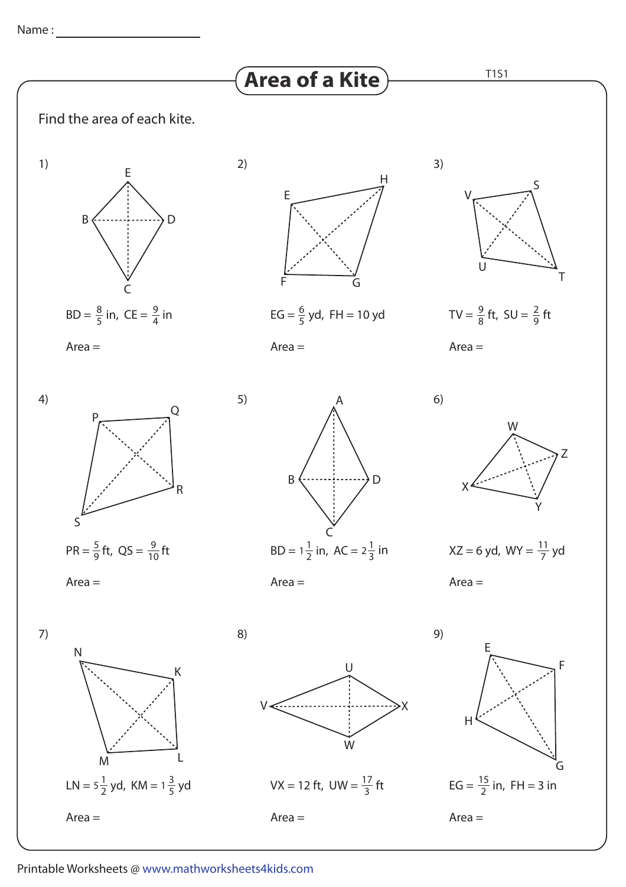